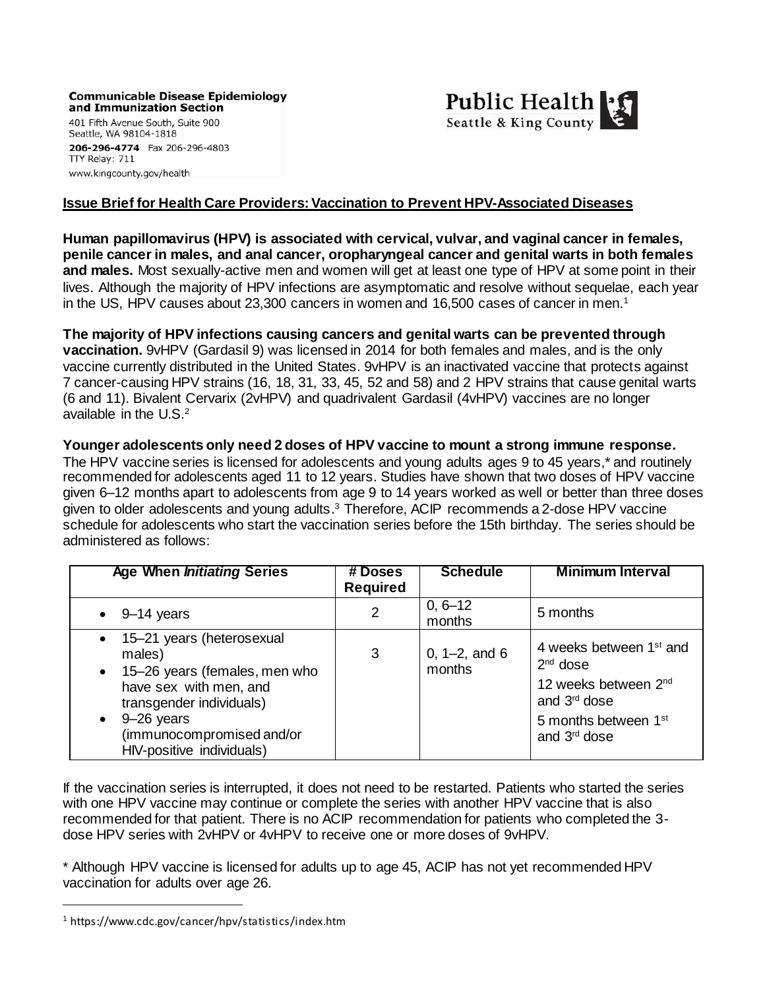**Communicable Disease Epidemiology** and Immunization Section



401 Fifth Avenue South, Suite 900 Seattle, WA 98104-1818 206-296-4774 Fax 206-296-4803 TTY Relay: 711 www.kingcounty.gov/health

### **Issue Brief for Health Care Providers:Vaccination to Prevent HPV-Associated Diseases**

**Human papillomavirus (HPV) is associated with cervical, vulvar, and vaginal cancer in females, penile cancer in males, and anal cancer, oropharyngeal cancer and genital warts in both females and males.** Most sexually-active men and women will get at least one type of HPV at some point in their lives. Although the majority of HPV infections are asymptomatic and resolve without sequelae, each year in the US, HPV causes about 23,300 cancers in women and 16,500 cases of cancer in men.<sup>1</sup>

**The majority of HPV infections causing cancers and genital warts can be prevented through vaccination.** 9vHPV (Gardasil 9) was licensed in 2014 for both females and males, and is the only vaccine currently distributed in the United States. 9vHPV is an inactivated vaccine that protects against 7 cancer-causing HPV strains (16, 18, 31, 33, 45, 52 and 58) and 2 HPV strains that cause genital warts (6 and 11). Bivalent Cervarix (2vHPV) and quadrivalent Gardasil (4vHPV) vaccines are no longer available in the U.S.<sup>2</sup>

**Younger adolescents only need 2 doses of HPV vaccine to mount a strong immune response.**

The HPV vaccine series is licensed for adolescents and young adults ages 9 to 45 years,\* and routinely recommended for adolescents aged 11 to 12 years. Studies have shown that two doses of HPV vaccine given 6–12 months apart to adolescents from age 9 to 14 years worked as well or better than three doses given to older adolescents and young adults. <sup>3</sup> Therefore, ACIP recommends a 2-dose HPV vaccine schedule for adolescents who start the vaccination series before the 15th birthday. The series should be administered as follows:

| <b>Age When Initiating Series</b>                                                                                                                                                                      | # Doses<br><b>Required</b> | <b>Schedule</b>              | <b>Minimum Interval</b>                                                                                                                                               |
|--------------------------------------------------------------------------------------------------------------------------------------------------------------------------------------------------------|----------------------------|------------------------------|-----------------------------------------------------------------------------------------------------------------------------------------------------------------------|
| $\bullet$ 9-14 years                                                                                                                                                                                   | $\overline{2}$             | $0, 6 - 12$<br>months        | 5 months                                                                                                                                                              |
| • 15-21 years (heterosexual<br>males)<br>• 15-26 years (females, men who<br>have sex with men, and<br>transgender individuals)<br>9-26 years<br>(immunocompromised and/or<br>HIV-positive individuals) | 3                          | 0, $1 - 2$ , and 6<br>months | 4 weeks between 1 <sup>st</sup> and<br>$2nd$ dose<br>12 weeks between 2 <sup>nd</sup><br>and 3 <sup>rd</sup> dose<br>5 months between 1st<br>and 3 <sup>rd</sup> dose |

If the vaccination series is interrupted, it does not need to be restarted. Patients who started the series with one HPV vaccine may continue or complete the series with another HPV vaccine that is also recommended for that patient. There is no ACIP recommendation for patients who completed the 3 dose HPV series with 2vHPV or 4vHPV to receive one or more doses of 9vHPV.

\* Although HPV vaccine is licensed for adults up to age 45, ACIP has not yet recommended HPV vaccination for adults over age 26.

 $\overline{a}$ 

<sup>1</sup> https://www.cdc.gov/cancer/hpv/statistics/index.htm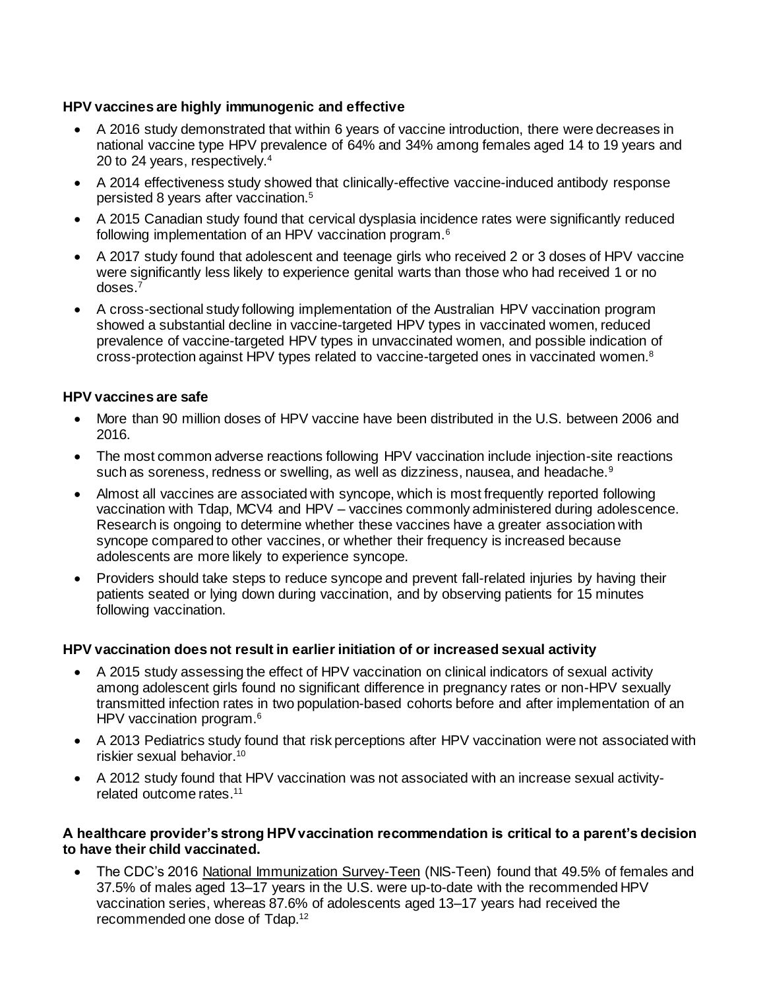# **HPV vaccines are highly immunogenic and effective**

- A 2016 study demonstrated that within 6 years of vaccine introduction, there were decreases in national vaccine type HPV prevalence of 64% and 34% among females aged 14 to 19 years and 20 to 24 years, respectively.<sup>4</sup>
- A 2014 effectiveness study showed that clinically-effective vaccine-induced antibody response persisted 8 years after vaccination.<sup>5</sup>
- A 2015 Canadian study found that cervical dysplasia incidence rates were significantly reduced following implementation of an HPV vaccination program.<sup>6</sup>
- A 2017 study found that adolescent and teenage girls who received 2 or 3 doses of HPV vaccine were significantly less likely to experience genital warts than those who had received 1 or no doses.<sup>7</sup>
- A cross-sectional study following implementation of the Australian HPV vaccination program showed a substantial decline in vaccine-targeted HPV types in vaccinated women, reduced prevalence of vaccine-targeted HPV types in unvaccinated women, and possible indication of cross-protection against HPV types related to vaccine-targeted ones in vaccinated women.<sup>8</sup>

#### **HPV vaccines are safe**

- More than 90 million doses of HPV vaccine have been distributed in the U.S. between 2006 and 2016.
- The most common adverse reactions following HPV vaccination include injection-site reactions such as soreness, redness or swelling, as well as dizziness, nausea, and headache.<sup>9</sup>
- Almost all vaccines are associated with syncope, which is most frequently reported following vaccination with Tdap, MCV4 and HPV – vaccines commonly administered during adolescence. Research is ongoing to determine whether these vaccines have a greater association with syncope compared to other vaccines, or whether their frequency is increased because adolescents are more likely to experience syncope.
- Providers should take steps to reduce syncope and prevent fall-related injuries by having their patients seated or lying down during vaccination, and by observing patients for 15 minutes following vaccination.

#### **HPV vaccination does not result in earlier initiation of or increased sexual activity**

- A 2015 study assessing the effect of HPV vaccination on clinical indicators of sexual activity among adolescent girls found no significant difference in pregnancy rates or non-HPV sexually transmitted infection rates in two population-based cohorts before and after implementation of an HPV vaccination program.<sup>6</sup>
- A 2013 Pediatrics study found that risk perceptions after HPV vaccination were not associated with riskier sexual behavior.<sup>10</sup>
- A 2012 study found that HPV vaccination was not associated with an increase sexual activityrelated outcome rates. 11

#### **A healthcare provider's strong HPV vaccination recommendation is critical to a parent's decision to have their child vaccinated.**

 The CDC's 2016 [National Immunization Survey-Teen](http://www.cdc.gov/vaccines/who/teens/vaccination-coverage.html) (NIS-Teen) found that 49.5% of females and 37.5% of males aged 13–17 years in the U.S. were up-to-date with the recommended HPV vaccination series, whereas 87.6% of adolescents aged 13–17 years had received the recommended one dose of Tdap.12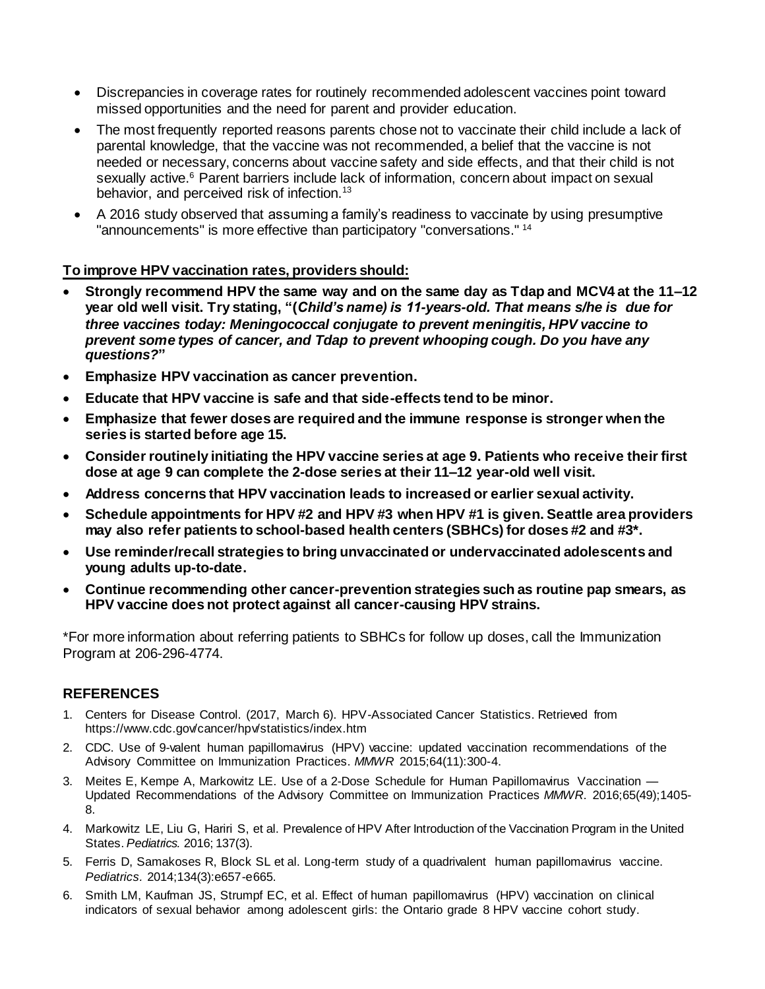- Discrepancies in coverage rates for routinely recommended adolescent vaccines point toward missed opportunities and the need for parent and provider education.
- The most frequently reported reasons parents chose not to vaccinate their child include a lack of parental knowledge, that the vaccine was not recommended, a belief that the vaccine is not needed or necessary, concerns about vaccine safety and side effects, and that their child is not sexually active.<sup>6</sup> Parent barriers include lack of information, concern about impact on sexual behavior, and perceived risk of infection.<sup>13</sup>
- A 2016 study observed that assuming a family's readiness to vaccinate by using presumptive "announcements" is more effective than participatory "conversations." <sup>14</sup>

### **To improve HPV vaccination rates, providers should:**

- **Strongly recommend HPV the same way and on the same day as Tdap and MCV4 at the 11–12 year old well visit. Try stating, "(***Child's name) is 11-years-old. That means s/he is due for three vaccines today: Meningococcal conjugate to prevent meningitis, HPV vaccine to prevent some types of cancer, and Tdap to prevent whooping cough. Do you have any questions?***"**
- **Emphasize HPV vaccination as cancer prevention.**
- **Educate that HPV vaccine is safe and that side-effects tend to be minor.**
- **Emphasize that fewer doses are required and the immune response is stronger when the series is started before age 15.**
- **Consider routinely initiating the HPV vaccine series at age 9. Patients who receive their first dose at age 9 can complete the 2-dose series at their 11–12 year-old well visit.**
- **Address concerns that HPV vaccination leads to increased or earlier sexual activity.**
- **Schedule appointments for HPV #2 and HPV #3 when HPV #1 is given. Seattle area providers may also refer patients to school-based health centers (SBHCs) for doses #2 and #3\*.**
- **Use reminder/recall strategies to bring unvaccinated or undervaccinated adolescents and young adults up-to-date.**
- **Continue recommending other cancer-prevention strategies such as routine pap smears, as HPV vaccine does not protect against all cancer-causing HPV strains.**

\*For more information about referring patients to SBHCs for follow up doses, call the Immunization Program at 206-296-4774.

# **REFERENCES**

- 1. Centers for Disease Control. (2017, March 6). HPV-Associated Cancer Statistics. Retrieved from https://www.cdc.gov/cancer/hpv/statistics/index.htm
- 2. CDC. Use of 9-valent human papillomavirus (HPV) vaccine: updated vaccination recommendations of the Advisory Committee on Immunization Practices. *MMWR* 2015;64(11):300-4.
- 3. Meites E, Kempe A, Markowitz LE. Use of a 2-Dose Schedule for [Human Papillomavirus Vaccination](https://www.cdc.gov/mmwr/volumes/65/wr/mm6549a5.htm) [Updated Recommendations of the Advisory Committee on Immunization Practices](https://www.cdc.gov/mmwr/volumes/65/wr/mm6549a5.htm) *MMWR*. 2016;65(49);1405- 8.
- 4. Markowitz LE, Liu G, Hariri S, et al. Prevalence of HPV After Introduction of the Vaccination Program in the United States. *Pediatrics.* 2016; 137(3).
- 5. Ferris D, Samakoses R, Block SL et al. Long-term study of a quadrivalent human papillomavirus vaccine. *Pediatrics.* 2014;134(3):e657-e665.
- 6. Smith LM, Kaufman JS, Strumpf EC, et al. Effect of human papillomavirus (HPV) vaccination on clinical indicators of sexual behavior among adolescent girls: the Ontario grade 8 HPV vaccine cohort study.